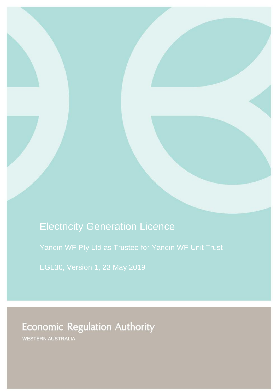# Electricity Generation Licence

[Yandin WF Pty Ltd as Trustee for Yandin WF Unit Trust](#page-1-0)

[EGL30,](#page-1-1) Version [1,](#page-1-2) 23 [May 2019](#page-1-3)

# **Economic Regulation Authority**

WESTERN AUSTRALIA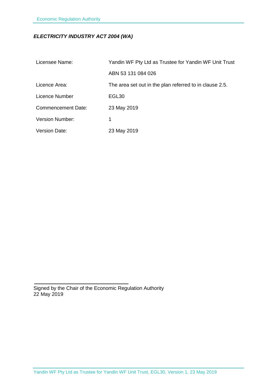# *ELECTRICITY INDUSTRY ACT 2004 (WA)*

<span id="page-1-3"></span><span id="page-1-2"></span><span id="page-1-1"></span><span id="page-1-0"></span>

| Licensee Name:            | Yandin WF Pty Ltd as Trustee for Yandin WF Unit Trust   |
|---------------------------|---------------------------------------------------------|
|                           | ABN 53 131 084 026                                      |
| Licence Area:             | The area set out in the plan referred to in clause 2.5. |
| Licence Number            | EGL <sub>30</sub>                                       |
| <b>Commencement Date:</b> | 23 May 2019                                             |
| <b>Version Number:</b>    | 1                                                       |
| <b>Version Date:</b>      | 23 May 2019                                             |

Signed by the Chair of the Economic Regulation Authority 22 May 2019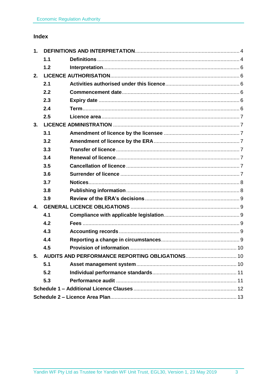# Index

| 1.             |     |  |  |
|----------------|-----|--|--|
|                | 1.1 |  |  |
|                | 1.2 |  |  |
| 2.             |     |  |  |
|                | 2.1 |  |  |
|                | 2.2 |  |  |
|                | 2.3 |  |  |
|                | 2.4 |  |  |
|                | 2.5 |  |  |
| 3.             |     |  |  |
|                | 3.1 |  |  |
|                | 3.2 |  |  |
|                | 3.3 |  |  |
|                | 3.4 |  |  |
|                | 3.5 |  |  |
|                | 3.6 |  |  |
|                | 3.7 |  |  |
|                | 3.8 |  |  |
|                | 3.9 |  |  |
| $\mathbf{4}$ . |     |  |  |
|                | 4.1 |  |  |
|                | 4.2 |  |  |
|                | 4.3 |  |  |
|                | 4.4 |  |  |
|                | 4.5 |  |  |
| 5.             |     |  |  |
|                | 5.1 |  |  |
|                | 5.2 |  |  |
|                | 5.3 |  |  |
|                |     |  |  |
|                |     |  |  |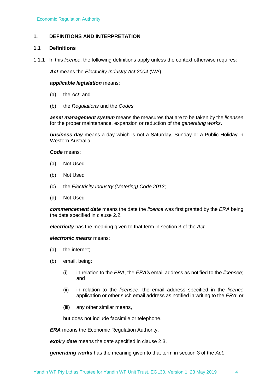# <span id="page-3-0"></span>**1. DEFINITIONS AND INTERPRETATION**

#### <span id="page-3-1"></span>**1.1 Definitions**

1.1.1 In this *licence*, the following definitions apply unless the context otherwise requires:

*Act* means the *Electricity Industry Act 2004* (WA).

#### *applicable legislation* means:

- (a) the *Act*; and
- (b) the *Regulations* and the *Codes.*

*asset management system* means the measures that are to be taken by the *licensee* for the proper maintenance, expansion or reduction of the *generating works*.

*business day* means a day which is not a Saturday, Sunday or a Public Holiday in Western Australia.

*Code* means:

- (a) Not Used
- (b) Not Used
- (c) the *Electricity Industry (Metering) Code 2012*;
- (d) Not Used

*commencement date* means the date the *licence* was first granted by the *ERA* being the date specified in clause 2.2.

*electricity* has the meaning given to that term in section 3 of the *Act*.

#### *electronic means* means:

- (a) the internet;
- (b) email, being:
	- (i) in relation to the *ERA*, the *ERA's* email address as notified to the *licensee*; and
	- (ii) in relation to the *licensee*, the email address specified in the *licence* application or other such email address as notified in writing to the *ERA*; or
	- (iii) any other similar means,

but does not include facsimile or telephone.

*ERA* means the Economic Regulation Authority.

*expiry date* means the date specified in clause 2.3.

*generating works* has the meaning given to that term in section 3 of the *Act.*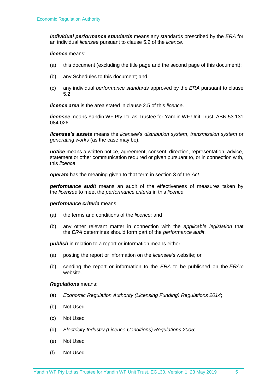*individual performance standards* means any standards prescribed by the *ERA* for an individual *licensee* pursuant to clause 5.2 of the *licence*.

#### *licence* means:

- (a) this document (excluding the title page and the second page of this document);
- (b) any Schedules to this document; and
- (c) any individual *performance standards* approved by the *ERA* pursuant to clause 5.2.

*licence area* is the area stated in clause 2.5 of this *licence*.

*licensee* means Yandin WF Pty Ltd as Trustee for Yandin WF Unit Trust, ABN 53 131 084 026.

*licensee's assets* means the *licensee*'s *distribution system*, *transmission system* or *generating works* (as the case may be).

*notice* means a written notice, agreement, consent, direction, representation, advice, statement or other communication required or given pursuant to, or in connection with, this *licence*.

*operate* has the meaning given to that term in section 3 of the *Act*.

*performance audit* means an audit of the effectiveness of measures taken by the *licensee* to meet the *performance criteria* in this *licence*.

#### *performance criteria* means:

- (a) the terms and conditions of the *licence*; and
- (b) any other relevant matter in connection with the *applicable legislation* that the *ERA* determines should form part of the *performance audit*.

**publish** in relation to a report or information means either:

- (a) posting the report or information on the *licensee's* website; or
- (b) sending the report or information to the *ERA* to be published on the *ERA's* website.

#### *Regulations* means:

- (a) *Economic Regulation Authority (Licensing Funding) Regulations 2014*;
- (b) Not Used
- (c) Not Used
- (d) *Electricity Industry (Licence Conditions) Regulations 2005*;
- (e) Not Used
- (f) Not Used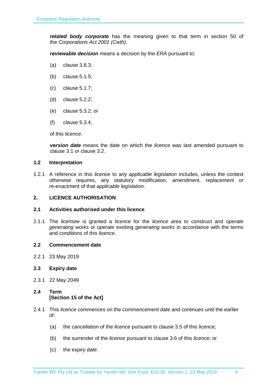*related body corporate* has the meaning given to that term in section 50 of the *Corporations Act 2001 (Cwth)*.

*reviewable decision* means a decision by the *ERA* pursuant to:

- (a) clause 3.8.3;
- (b) clause 5.1.5;
- (c) clause 5.1.7;
- (d) clause 5.2.2;
- (e) clause 5.3.2; or
- (f) clause 5.3.4,

of this *licence*.

*version date* means the date on which the *licence* was last amended pursuant to clause 3.1 or clause 3.2.

#### <span id="page-5-0"></span>**1.2 Interpretation**

1.2.1 A reference in this *licence* to any *applicable legislation* includes, unless the context otherwise requires, any statutory modification, amendment, replacement or re-enactment of that *applicable legislation*.

#### <span id="page-5-1"></span>**2. LICENCE AUTHORISATION**

#### <span id="page-5-2"></span>**2.1 Activities authorised under this licence**

2.1.1 The *licensee* is granted a *licence* for the *licence area* to construct and *operate generating works* or *operate* existing *generating works* in accordance with the terms and conditions of this *licence*.

#### <span id="page-5-3"></span>**2.2 Commencement date**

- 2.2.1 23 May 2019
- <span id="page-5-4"></span>**2.3 Expiry date**
- 2.3.1 22 May 2049

# <span id="page-5-5"></span>**2.4 Term [Section 15 of the Act]**

- 2.4.1 This *licence* commences on the *commencement date* and continues until the earlier of:
	- (a) the cancellation of the *licence* pursuant to clause 3.5 of this *licence*;
	- (b) the surrender of the *licence* pursuant to clause 3.6 of this *licence*; or
	- (c) the *expiry date*.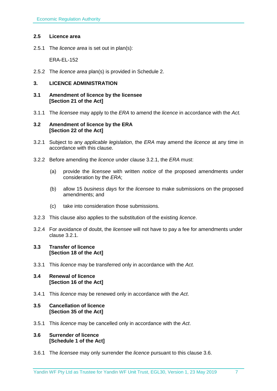# <span id="page-6-0"></span>**2.5 Licence area**

2.5.1 The *licence area* is set out in plan(s):

ERA-EL-152

2.5.2 The *licence area* plan(s) is provided in Schedule 2.

# <span id="page-6-1"></span>**3. LICENCE ADMINISTRATION**

#### <span id="page-6-2"></span>**3.1 Amendment of licence by the licensee [Section 21 of the Act]**

3.1.1 The *licensee* may apply to the *ERA* to amend the *licence* in accordance with the *Act.*

#### <span id="page-6-3"></span>**3.2 Amendment of licence by the ERA [Section 22 of the Act]**

- 3.2.1 Subject to any *applicable legislation*, the *ERA* may amend the *licence* at any time in accordance with this clause.
- 3.2.2 Before amending the *licence* under clause 3.2.1, the *ERA* must:
	- (a) provide the *licensee* with written *notice* of the proposed amendments under consideration by the *ERA*;
	- (b) allow 15 *business days* for the *licensee* to make submissions on the proposed amendments; and
	- (c) take into consideration those submissions.
- 3.2.3 This clause also applies to the substitution of the existing *licence*.
- 3.2.4 For avoidance of doubt, the *licensee* will not have to pay a fee for amendments under clause 3.2.1.

#### <span id="page-6-4"></span>**3.3 Transfer of licence [Section 18 of the Act]**

- 3.3.1 This *licence* may be transferred only in accordance with the *Act.*
- <span id="page-6-5"></span>**3.4 Renewal of licence [Section 16 of the Act]**
- 3.4.1 This *licence* may be renewed only in accordance with the *Act*.

# <span id="page-6-6"></span>**3.5 Cancellation of licence [Section 35 of the Act]**

3.5.1 This *licence* may be cancelled only in accordance with the *Act*.

#### <span id="page-6-7"></span>**3.6 Surrender of licence [Schedule 1 of the Act]**

3.6.1 The *licensee* may only surrender the *licence* pursuant to this clause 3.6.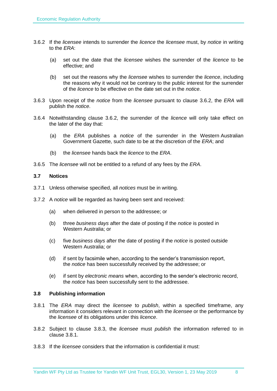- 3.6.2 If the *licensee* intends to surrender the *licence* the *licensee* must, by *notice* in writing to the *ERA*:
	- (a) set out the date that the *licensee* wishes the surrender of the *licence* to be effective; and
	- (b) set out the reasons why the *licensee* wishes to surrender the *licence*, including the reasons why it would not be contrary to the public interest for the surrender of the *licence* to be effective on the date set out in the *notice*.
- 3.6.3 Upon receipt of the *notice* from the *licensee* pursuant to clause 3.6.2, the *ERA* will publish the *notice*.
- 3.6.4 Notwithstanding clause 3.6.2, the surrender of the *licence* will only take effect on the later of the day that:
	- (a) the *ERA* publishes a *notice* of the surrender in the Western Australian Government Gazette, such date to be at the discretion of the *ERA*; and
	- (b) the *licensee* hands back the *licence* to the *ERA*.
- 3.6.5 The *licensee* will not be entitled to a refund of any fees by the *ERA*.

#### <span id="page-7-0"></span>**3.7 Notices**

- 3.7.1 Unless otherwise specified, all *notices* must be in writing.
- 3.7.2 A *notice* will be regarded as having been sent and received:
	- (a) when delivered in person to the addressee; or
	- (b) three *business days* after the date of posting if the *notice* is posted in Western Australia; or
	- (c) five *business days* after the date of posting if the *notice* is posted outside Western Australia; or
	- (d) if sent by facsimile when, according to the sender's transmission report, the *notice* has been successfully received by the addressee; or
	- (e) if sent by *electronic means* when, according to the sender's electronic record, the *notice* has been successfully sent to the addressee.

#### <span id="page-7-1"></span>**3.8 Publishing information**

- 3.8.1 The *ERA* may direct the *licensee* to *publish*, within a specified timeframe, any information it considers relevant in connection with the *licensee* or the performance by the *licensee* of its obligations under this *licence*.
- 3.8.2 Subject to clause 3.8.3, the *licensee* must *publish* the information referred to in clause 3.8.1.
- 3.8.3 If the *licensee* considers that the information is confidential it must: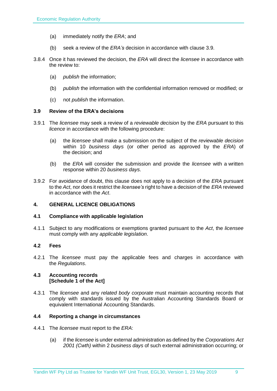- (a) immediately notify the *ERA*; and
- (b) seek a review of the *ERA's* decision in accordance with clause 3.9.
- 3.8.4 Once it has reviewed the decision, the *ERA* will direct the *licensee* in accordance with the review to:
	- (a) *publish* the information;
	- (b) *publish* the information with the confidential information removed or modified; or
	- (c) not *publish* the information.

# <span id="page-8-0"></span>**3.9 Review of the ERA's decisions**

- 3.9.1 The *licensee* may seek a review of a *reviewable decision* by the *ERA* pursuant to this *licence* in accordance with the following procedure:
	- (a) the *licensee* shall make a submission on the subject of the *reviewable decision* within 10 *business days* (or other period as approved by the *ERA*) of the decision; and
	- (b) the *ERA* will consider the submission and provide the *licensee* with a written response within 20 *business days*.
- 3.9.2 For avoidance of doubt, this clause does not apply to a decision of the *ERA* pursuant to the *Act*, nor does it restrict the *licensee's* right to have a decision of the *ERA* reviewed in accordance with the *Act*.

# <span id="page-8-1"></span>**4. GENERAL LICENCE OBLIGATIONS**

# <span id="page-8-2"></span>**4.1 Compliance with applicable legislation**

4.1.1 Subject to any modifications or exemptions granted pursuant to the *Act*, the *licensee* must comply with any *applicable legislation*.

# <span id="page-8-3"></span>**4.2 Fees**

4.2.1 The *licensee* must pay the applicable fees and charges in accordance with the *Regulations*.

#### <span id="page-8-4"></span>**4.3 Accounting records [Schedule 1 of the Act]**

4.3.1 The *licensee* and any *related body corporate* must maintain accounting records that comply with standards issued by the Australian Accounting Standards Board or equivalent International Accounting Standards.

# <span id="page-8-5"></span>**4.4 Reporting a change in circumstances**

- 4.4.1 The *licensee* must report to the *ERA*:
	- (a) if the *licensee* is under external administration as defined by the *Corporations Act 2001 (Cwth)* within 2 *business days* of such external administration occurring; or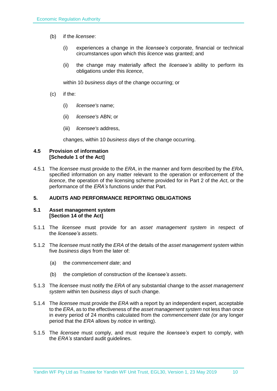- (b) if the *licensee*:
	- (i) experiences a change in the *licensee's* corporate, financial or technical circumstances upon which this *licence* was granted; and
	- (ii) the change may materially affect the *licensee's* ability to perform its obligations under this *licence*,

within 10 *business days* of the change occurring; or

- (c) if the:
	- (i) *licensee's* name;
	- (ii) *licensee's* ABN; or
	- (iii) *licensee's* address,

changes, within 10 *business days* of the change occurring.

#### <span id="page-9-0"></span>**4.5 Provision of information [Schedule 1 of the Act]**

4.5.1 The *licensee* must provide to the *ERA*, in the manner and form described by the *ERA*, specified information on any matter relevant to the operation or enforcement of the *licence*, the operation of the licensing scheme provided for in Part 2 of the *Act*, or the performance of the *ERA's* functions under that Part.

# <span id="page-9-1"></span>**5. AUDITS AND PERFORMANCE REPORTING OBLIGATIONS**

#### <span id="page-9-2"></span>**5.1 Asset management system [Section 14 of the Act]**

- 5.1.1 The *licensee* must provide for an *asset management system* in respect of the *licensee's assets*.
- 5.1.2 The *licensee* must notify the *ERA* of the details of the *asset management system* within five *business days* from the later of:
	- (a) the *commencement date*; and
	- (b) the completion of construction of the *licensee's assets*.
- 5.1.3 The *licensee* must notify the *ERA* of any substantial change to the *asset management system* within ten *business days* of such change.
- 5.1.4 The *licensee* must provide the *ERA* with a report by an independent expert, acceptable to the *ERA*, as to the effectiveness of the *asset management system* not less than once in every period of 24 months calculated from the *commencement date (*or any longer period that the *ERA* allows by *notice* in writing).
- 5.1.5 The *licensee* must comply, and must require the *licensee's* expert to comply, with the *ERA's* standard audit guidelines.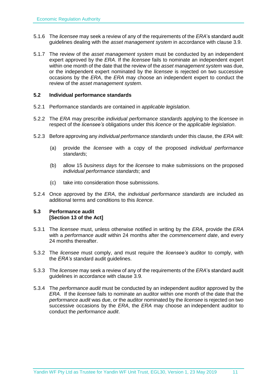- 5.1.6 The *licensee* may seek a review of any of the requirements of the *ERA*'s standard audit guidelines dealing with the *asset management system* in accordance with clause 3.9.
- 5.1.7 The review of the *asset management system* must be conducted by an independent expert approved by the *ERA*. If the *licensee* fails to nominate an independent expert within one month of the date that the review of the *asset management system* was due, or the independent expert nominated by the *licensee* is rejected on two successive occasions by the *ERA*, the *ERA* may choose an independent expert to conduct the review of the *asset management system*.

#### <span id="page-10-0"></span>**5.2 Individual performance standards**

- 5.2.1 Performance standards are contained in *applicable legislation*.
- 5.2.2 The *ERA* may prescribe *individual performance standards* applying to the *licensee* in respect of the *licensee's* obligations under this *licence* or the *applicable legislation*.
- 5.2.3 Before approving any *individual performance standards* under this clause, the *ERA* will:
	- (a) provide the *licensee* with a copy of the proposed *individual performance standards*;
	- (b) allow 15 *business days* for the *licensee* to make submissions on the proposed *individual performance standards*; and
	- (c) take into consideration those submissions.
- 5.2.4 Once approved by the *ERA*, the *individual performance standards* are included as additional terms and conditions to this *licence*.

# <span id="page-10-1"></span>**5.3 Performance audit [Section 13 of the Act]**

- 5.3.1 The *licensee* must, unless otherwise notified in writing by the *ERA*, provide the *ERA* with a *performance audit* within 24 months after the *commencement date*, and every 24 months thereafter.
- 5.3.2 The *licensee* must comply, and must require the *licensee's* auditor to comply, with the *ERA's* standard audit guidelines.
- 5.3.3 The *licensee* may seek a review of any of the requirements of the *ERA*'s standard audit guidelines in accordance with clause 3.9.
- 5.3.4 The *performance audit* must be conducted by an independent auditor approved by the *ERA*. If the *licensee* fails to nominate an auditor within one month of the date that the *performance audit* was due, or the auditor nominated by the *licensee* is rejected on two successive occasions by the *ERA*, the *ERA* may choose an independent auditor to conduct the *performance audit*.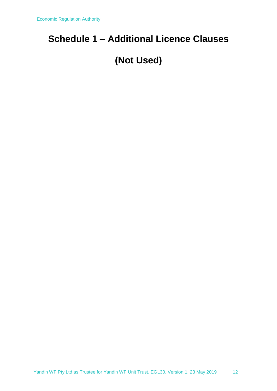# <span id="page-11-0"></span>**Schedule 1 – Additional Licence Clauses**

# **(Not Used)**

[Yandin WF Pty Ltd as Trustee for Yandin WF Unit Trust,](#page-1-0) [EGL30,](#page-1-1) Version [1,](#page-1-2) 23 [May 2019](#page-1-3) 12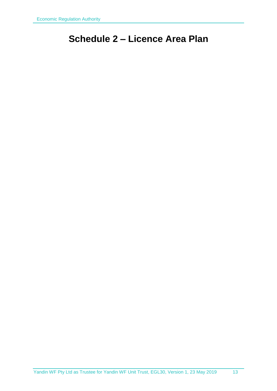# <span id="page-12-0"></span>**Schedule 2 – Licence Area Plan**